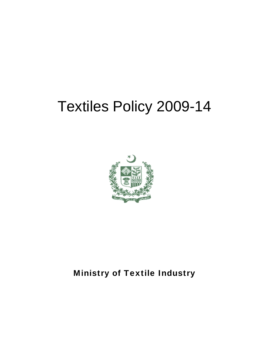# Textiles Policy 2009-14



# **Ministry of Textile Industry**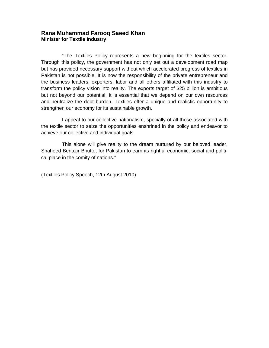#### **Rana Muhammad Farooq Saeed Khan Minister for Textile Industry**

"The Textiles Policy represents a new beginning for the textiles sector. Through this policy, the government has not only set out a development road map but has provided necessary support without which accelerated progress of textiles in Pakistan is not possible. It is now the responsibility of the private entrepreneur and the business leaders, exporters, labor and all others affiliated with this industry to transform the policy vision into reality. The exports target of \$25 billion is ambitious but not beyond our potential. It is essential that we depend on our own resources and neutralize the debt burden. Textiles offer a unique and realistic opportunity to strengthen our economy for its sustainable growth.

I appeal to our collective nationalism, specially of all those associated with the textile sector to seize the opportunities enshrined in the policy and endeavor to achieve our collective and individual goals.

This alone will give reality to the dream nurtured by our beloved leader, Shaheed Benazir Bhutto, for Pakistan to earn its rightful economic, social and political place in the comity of nations."

(Textiles Policy Speech, 12th August 2010)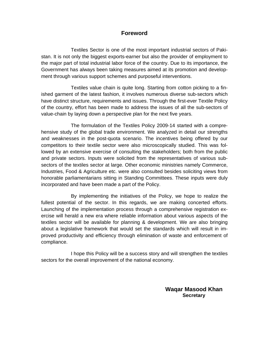#### **Foreword**

 Textiles Sector is one of the most important industrial sectors of Pakistan. It is not only the biggest exports-earner but also the provider of employment to the major part of total industrial labor force of the country. Due to its importance, the Government has always been taking measures aimed at its promotion and development through various support schemes and purposeful interventions.

 Textiles value chain is quite long. Starting from cotton picking to a finished garment of the latest fashion, it involves numerous diverse sub-sectors which have distinct structure, requirements and issues. Through the first-ever Textile Policy of the country, effort has been made to address the issues of all the sub-sectors of value-chain by laying down a perspective plan for the next five years.

 The formulation of the Textiles Policy 2009-14 started with a comprehensive study of the global trade environment. We analyzed in detail our strengths and weaknesses in the post-quota scenario. The incentives being offered by our competitors to their textile sector were also microscopically studied. This was followed by an extensive exercise of consulting the stakeholders; both from the public and private sectors. Inputs were solicited from the representatives of various subsectors of the textiles sector at large. Other economic ministries namely Commerce, Industries, Food & Agriculture etc. were also consulted besides soliciting views from honorable parliamentarians sitting in Standing Committees. These inputs were duly incorporated and have been made a part of the Policy.

 By implementing the initiatives of the Policy, we hope to realize the fullest potential of the sector. In this regards, we are making concerted efforts. Launching of the implementation process through a comprehensive registration exercise will herald a new era where reliable information about various aspects of the textiles sector will be available for planning & development. We are also bringing about a legislative framework that would set the standards which will result in improved productivity and efficiency through elimination of waste and enforcement of compliance.

 I hope this Policy will be a success story and will strengthen the textiles sectors for the overall improvement of the national economy.

> **Waqar Masood Khan Secretary**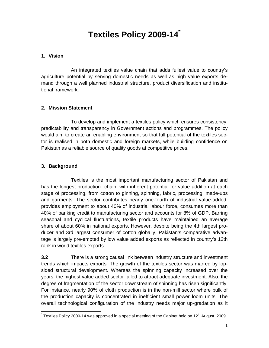# **Textiles Policy 2009-14\***

#### **1. Vision**

 An integrated textiles value chain that adds fullest value to country's agriculture potential by serving domestic needs as well as high value exports demand through a well planned industrial structure, product diversification and institutional framework.

#### **2. Mission Statement**

To develop and implement a textiles policy which ensures consistency, predictability and transparency in Government actions and programmes. The policy would aim to create an enabling environment so that full potential of the textiles sector is realised in both domestic and foreign markets, while building confidence on Pakistan as a reliable source of quality goods at competitive prices.

#### **3. Background**

Textiles is the most important manufacturing sector of Pakistan and has the longest production chain, with inherent potential for value addition at each stage of processing, from cotton to ginning, spinning, fabric, processing, made-ups and garments. The sector contributes nearly one-fourth of industrial value-added, provides employment to about 40% of industrial labour force, consumes more than 40% of banking credit to manufacturing sector and accounts for 8% of GDP. Barring seasonal and cyclical fluctuations, textile products have maintained an average share of about 60% in national exports. However, despite being the 4th largest producer and 3rd largest consumer of cotton globally, Pakistan's comparative advantage is largely pre-empted by low value added exports as reflected in country's 12th rank in world textiles exports.

**3.2** There is a strong causal link between industry structure and investment trends which impacts exports. The growth of the textiles sector was marred by lopsided structural development. Whereas the spinning capacity increased over the years, the highest value added sector failed to attract adequate investment. Also, the degree of fragmentation of the sector downstream of spinning has risen significantly. For instance, nearly 90% of cloth production is in the non-mill sector where bulk of the production capacity is concentrated in inefficient small power loom units. The overall technological configuration of the industry needs major up-gradation as it

<sup>1</sup>  $\check{}$  Textiles Policy 2009-14 was approved in a special meeting of the Cabinet held on 12<sup>th</sup> August, 2009.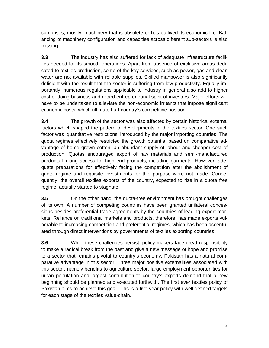comprises, mostly, machinery that is obsolete or has outlived its economic life. Balancing of machinery configuration and capacities across different sub-sectors is also missing.

**3.3** The industry has also suffered for lack of adequate infrastructure facilities needed for its smooth operations. Apart from absence of exclusive areas dedicated to textiles production, some of the key services, such as power, gas and clean water are not available with reliable supplies. Skilled manpower is also significantly deficient with the result that the sector is suffering from low productivity. Equally importantly, numerous regulations applicable to industry in general also add to higher cost of doing business and retard entrepreneurial spirit of investors. Major efforts will have to be undertaken to alleviate the non-economic irritants that impose significant economic costs, which ultimate hurt country's competitive position.

**3.4** The growth of the sector was also affected by certain historical external factors which shaped the pattern of developments in the textiles sector. One such factor was 'quantitative restrictions' introduced by the major importing countries. The quota regimes effectively restricted the growth potential based on comparative advantage of home grown cotton, an abundant supply of labour and cheaper cost of production. Quotas encouraged export of raw materials and semi-manufactured products limiting access for high end products, including garments. However, adequate preparations for effectively facing the competition after the abolishment of quota regime and requisite investments for this purpose were not made. Consequently, the overall textiles exports of the country, expected to rise in a quota free regime, actually started to stagnate.

**3.5** On the other hand, the quota-free environment has brought challenges of its own. A number of competing countries have been granted unilateral concessions besides preferential trade agreements by the countries of leading export markets. Reliance on traditional markets and products, therefore, has made exports vulnerable to increasing competition and preferential regimes, which has been accentuated through direct interventions by governments of textiles exporting countries.

**3.6** While these challenges persist, policy makers face great responsibility to make a radical break from the past and give a new message of hope and promise to a sector that remains pivotal to country's economy. Pakistan has a natural comparative advantage in this sector. Three major positive externalities associated with this sector, namely benefits to agriculture sector, large employment opportunities for urban population and largest contribution to country's exports demand that a new beginning should be planned and executed forthwith. The first ever textiles policy of Pakistan aims to achieve this goal. This is a five year policy with well defined targets for each stage of the textiles value-chain.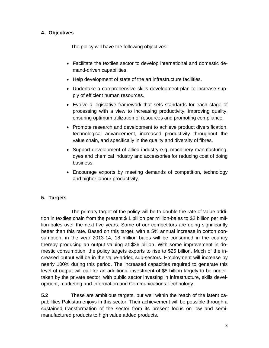#### **4. Objectives**

The policy will have the following objectives:

- Facilitate the textiles sector to develop international and domestic demand-driven capabilities.
- Help development of state of the art infrastructure facilities.
- Undertake a comprehensive skills development plan to increase supply of efficient human resources.
- Evolve a legislative framework that sets standards for each stage of processing with a view to increasing productivity, improving quality, ensuring optimum utilization of resources and promoting compliance.
- Promote research and development to achieve product diversification, technological advancement, increased productivity throughout the value chain, and specifically in the quality and diversity of fibres.
- Support development of allied industry e.g. machinery manufacturing, dyes and chemical industry and accessories for reducing cost of doing business.
- Encourage exports by meeting demands of competition, technology and higher labour productivity.

#### **5. Targets**

The primary target of the policy will be to double the rate of value addition in textiles chain from the present \$ 1 billion per million-bales to \$2 billion per million-bales over the next five years. Some of our competitors are doing significantly better than this rate. Based on this target, with a 5% annual increase in cotton consumption, in the year 2013-14, 18 million bales will be consumed in the country thereby producing an output valuing at \$36 billion. With some improvement in domestic consumption, the policy targets exports to rise to \$25 billion. Much of the increased output will be in the value-added sub-sectors. Employment will increase by nearly 100% during this period. The increased capacities required to generate this level of output will call for an additional investment of \$8 billion largely to be undertaken by the private sector, with public sector investing in infrastructure, skills development, marketing and Information and Communications Technology.

**5.2** These are ambitious targets, but well within the reach of the latent capabilities Pakistan enjoys in this sector. Their achievement will be possible through a sustained transformation of the sector from its present focus on low and semimanufactured products to high value added products.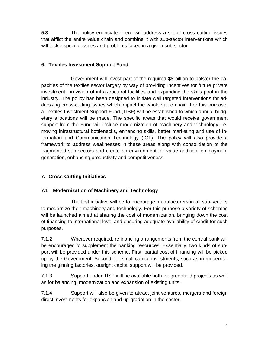**5.3** The policy enunciated here will address a set of cross cutting issues that afflict the entire value chain and combine it with sub-sector interventions which will tackle specific issues and problems faced in a given sub-sector.

#### **6. Textiles Investment Support Fund**

 Government will invest part of the required \$8 billion to bolster the capacities of the textiles sector largely by way of providing incentives for future private investment, provision of infrastructural facilities and expanding the skills pool in the industry. The policy has been designed to initiate well targeted interventions for addressing cross-cutting issues which impact the whole value chain. For this purpose, a Textiles Investment Support Fund (TISF) will be established to which annual budgetary allocations will be made. The specific areas that would receive government support from the Fund will include modernization of machinery and technology, removing infrastructural bottlenecks, enhancing skills, better marketing and use of Information and Communication Technology (ICT). The policy will also provide a framework to address weaknesses in these areas along with consolidation of the fragmented sub-sectors and create an environment for value addition, employment generation, enhancing productivity and competitiveness.

#### **7. Cross-Cutting Initiatives**

#### **7.1 Modernization of Machinery and Technology**

The first initiative will be to encourage manufacturers in all sub-sectors to modernize their machinery and technology. For this purpose a variety of schemes will be launched aimed at sharing the cost of modernization, bringing down the cost of financing to international level and ensuring adequate availability of credit for such purposes.

7.1.2 Wherever required, refinancing arrangements from the central bank will be encouraged to supplement the banking resources. Essentially, two kinds of support will be provided under this scheme. First, partial cost of financing will be picked up by the Government. Second, for small capital investments, such as in modernizing the ginning factories, outright capital support will be provided.

7.1.3 Support under TISF will be available both for greenfield projects as well as for balancing, modernization and expansion of existing units.

7.1.4 Support will also be given to attract joint ventures, mergers and foreign direct investments for expansion and up-gradation in the sector.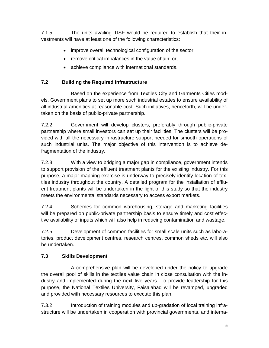7.1.5 The units availing TISF would be required to establish that their investments will have at least one of the following characteristics:

- improve overall technological configuration of the sector;
- remove critical imbalances in the value chain; or,
- achieve compliance with international standards.

# **7.2 Building the Required Infrastructure**

Based on the experience from Textiles City and Garments Cities models, Government plans to set up more such industrial estates to ensure availability of all industrial amenities at reasonable cost. Such initiatives, henceforth, will be undertaken on the basis of public-private partnership.

7.2.2 Government will develop clusters, preferably through public-private partnership where small investors can set up their facilities. The clusters will be provided with all the necessary infrastructure support needed for smooth operations of such industrial units. The major objective of this intervention is to achieve defragmentation of the industry.

7.2.3 With a view to bridging a major gap in compliance, government intends to support provision of the effluent treatment plants for the existing industry. For this purpose, a major mapping exercise is underway to precisely identify location of textiles industry throughout the country. A detailed program for the installation of effluent treatment plants will be undertaken in the light of this study so that the industry meets the environmental standards necessary to access export markets.

7.2.4 Schemes for common warehousing, storage and marketing facilities will be prepared on public-private partnership basis to ensure timely and cost effective availability of inputs which will also help in reducing contamination and wastage.

7.2.5 Development of common facilities for small scale units such as laboratories, product development centres, research centres, common sheds etc. will also be undertaken.

#### **7.3 Skills Development**

A comprehensive plan will be developed under the policy to upgrade the overall pool of skills in the textiles value chain in close consultation with the industry and implemented during the next five years. To provide leadership for this purpose, the National Textiles University, Faisalabad will be revamped, upgraded and provided with necessary resources to execute this plan.

7.3.2 Introduction of training modules and up-gradation of local training infrastructure will be undertaken in cooperation with provincial governments, and interna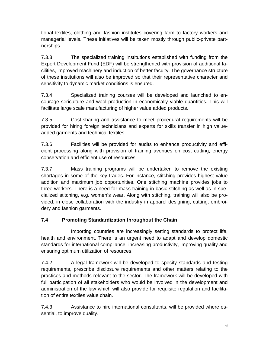tional textiles, clothing and fashion institutes covering farm to factory workers and managerial levels. These initiatives will be taken mostly through public-private partnerships.

7.3.3 The specialized training institutions established with funding from the Export Development Fund (EDF) will be strengthened with provision of additional facilities, improved machinery and induction of better faculty. The governance structure of these institutions will also be improved so that their representative character and sensitivity to dynamic market conditions is ensured.

7.3.4 Specialized training courses will be developed and launched to encourage sericulture and wool production in economically viable quantities. This will facilitate large scale manufacturing of higher value added products.

7.3.5 Cost-sharing and assistance to meet procedural requirements will be provided for hiring foreign technicians and experts for skills transfer in high valueadded garments and technical textiles.

7.3.6 Facilities will be provided for audits to enhance productivity and efficient processing along with provision of training avenues on cost cutting, energy conservation and efficient use of resources.

7.3.7 Mass training programs will be undertaken to remove the existing shortages in some of the key trades. For instance, stitching provides highest value addition and maximum job opportunities. One stitching machine provides jobs to three workers. There is a need for mass training in basic stitching as well as in specialized stitching, e.g. women's wear. Along with stitching, training will also be provided, in close collaboration with the industry in apparel designing, cutting, embroidery and fashion garments.

# **7.4 Promoting Standardization throughout the Chain**

Importing countries are increasingly setting standards to protect life, health and environment. There is an urgent need to adapt and develop domestic standards for international compliance, increasing productivity, improving quality and ensuring optimum utilization of resources.

7.4.2 A legal framework will be developed to specify standards and testing requirements, prescribe disclosure requirements and other matters relating to the practices and methods relevant to the sector. The framework will be developed with full participation of all stakeholders who would be involved in the development and administration of the law which will also provide for requisite regulation and facilitation of entire textiles value chain.

7.4.3 Assistance to hire international consultants, will be provided where essential, to improve quality.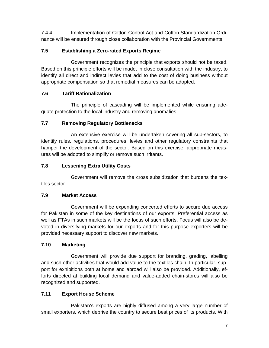7.4.4 Implementation of Cotton Control Act and Cotton Standardization Ordinance will be ensured through close collaboration with the Provincial Governments.

# **7.5 Establishing a Zero-rated Exports Regime**

Government recognizes the principle that exports should not be taxed. Based on this principle efforts will be made, in close consultation with the industry, to identify all direct and indirect levies that add to the cost of doing business without appropriate compensation so that remedial measures can be adopted.

# **7.6 Tariff Rationalization**

The principle of cascading will be implemented while ensuring adequate protection to the local industry and removing anomalies.

# **7.7 Removing Regulatory Bottlenecks**

An extensive exercise will be undertaken covering all sub-sectors, to identify rules, regulations, procedures, levies and other regulatory constraints that hamper the development of the sector. Based on this exercise, appropriate measures will be adopted to simplify or remove such irritants.

# **7.8 Lessening Extra Utility Costs**

Government will remove the cross subsidization that burdens the textiles sector.

# **7.9 Market Access**

Government will be expending concerted efforts to secure due access for Pakistan in some of the key destinations of our exports. Preferential access as well as FTAs in such markets will be the focus of such efforts. Focus will also be devoted in diversifying markets for our exports and for this purpose exporters will be provided necessary support to discover new markets.

# **7.10 Marketing**

Government will provide due support for branding, grading, labelling and such other activities that would add value to the textiles chain. In particular, support for exhibitions both at home and abroad will also be provided. Additionally, efforts directed at building local demand and value-added chain-stores will also be recognized and supported.

# **7.11 Export House Scheme**

Pakistan's exports are highly diffused among a very large number of small exporters, which deprive the country to secure best prices of its products. With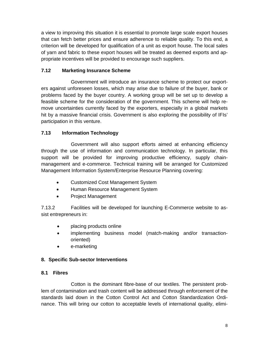a view to improving this situation it is essential to promote large scale export houses that can fetch better prices and ensure adherence to reliable quality. To this end, a criterion will be developed for qualification of a unit as export house. The local sales of yarn and fabric to these export houses will be treated as deemed exports and appropriate incentives will be provided to encourage such suppliers.

#### **7.12 Marketing Insurance Scheme**

Government will introduce an insurance scheme to protect our exporters against unforeseen losses, which may arise due to failure of the buyer, bank or problems faced by the buyer country. A working group will be set up to develop a feasible scheme for the consideration of the government. This scheme will help remove uncertainties currently faced by the exporters, especially in a global markets hit by a massive financial crisis. Government is also exploring the possibility of IFIs' participation in this venture.

#### **7.13 Information Technology**

Government will also support efforts aimed at enhancing efficiency through the use of information and communication technology. In particular, this support will be provided for improving productive efficiency, supply chainmanagement and e-commerce. Technical training will be arranged for Customized Management Information System/Enterprise Resource Planning covering:

- Customized Cost Management System
- Human Resource Management System
- Project Management

7.13.2 Facilities will be developed for launching E-Commerce website to assist entrepreneurs in:

- placing products online
- implementing business model (match-making and/or transactionoriented)
- e-marketing

#### **8. Specific Sub-sector Interventions**

#### **8.1 Fibres**

Cotton is the dominant fibre-base of our textiles. The persistent problem of contamination and trash content will be addressed through enforcement of the standards laid down in the Cotton Control Act and Cotton Standardization Ordinance. This will bring our cotton to acceptable levels of international quality, elimi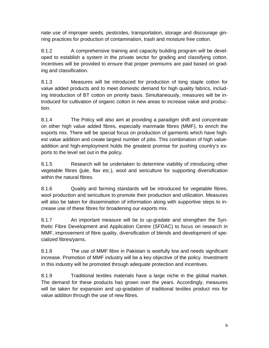nate use of improper seeds, pesticides, transportation, storage and discourage ginning practices for production of contamination, trash and moisture free cotton.

8.1.2 A comprehensive training and capacity building program will be developed to establish a system in the private sector for grading and classifying cotton. Incentives will be provided to ensure that proper premiums are paid based on grading and classification.

8.1.3 Measures will be introduced for production of long staple cotton for value added products and to meet domestic demand for high quality fabrics, including introduction of BT cotton on priority basis. Simultaneously, measures will be introduced for cultivation of organic cotton in new areas to increase value and production.

8.1.4 The Policy will also aim at providing a paradigm shift and concentrate on other high value added fibres, especially manmade fibres (MMF), to enrich the exports mix. There will be special focus on production of garments which have highest value addition and create largest number of jobs. This combination of high valueaddition and high-employment holds the greatest promise for pushing country's exports to the level set out in the policy.

8.1.5 Research will be undertaken to determine viability of introducing other vegetable fibres (jute, flax etc.), wool and sericulture for supporting diversification within the natural fibres.

8.1.6 Quality and farming standards will be introduced for vegetable fibres, wool production and sericulture to promote their production and utilization. Measures will also be taken for dissemination of information along with supportive steps to increase use of these fibres for broadening our exports mix.

8.1.7 An important measure will be to up-gradate and strengthen the Synthetic Fibre Development and Application Centre (SFDAC) to focus on research in MMF, improvement of fibre quality, diversification of blends and development of specialized fibres/yarns.

8.1.8 The use of MMF fibre in Pakistan is woefully low and needs significant increase. Promotion of MMF industry will be a key objective of the policy. Investment in this industry will be promoted through adequate protection and incentives.

8.1.9 Traditional textiles materials have a large niche in the global market. The demand for these products has grown over the years. Accordingly, measures will be taken for expansion and up-gradation of traditional textiles product mix for value addition through the use of new fibres.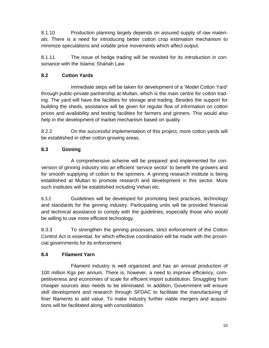8.1.10 Production planning largely depends on assured supply of raw materials. There is a need for introducing better cotton crop estimation mechanism to minimize speculations and volatile price movements which affect output.

8.1.11 The issue of hedge trading will be revisited for its introduction in consonance with the Islamic Shariah Law.

# **8.2 Cotton Yards**

Immediate steps will be taken for development of a 'Model Cotton Yard' through public-private partnership at Multan, which is the main centre for cotton trading. The yard will have the facilities for storage and trading. Besides the support for building the sheds, assistance will be given for regular flow of information on cotton prices and availability and testing facilities for farmers and ginners. This would also help in the development of market mechanism based on quality.

8.2.2 On the successful implementation of this project, more cotton yards will be established in other cotton growing areas.

# **8.3 Ginning**

A comprehensive scheme will be prepared and implemented for conversion of ginning industry into an efficient 'service sector' to benefit the growers and for smooth supplying of cotton to the spinners. A ginning research institute is being established at Multan to promote research and development in this sector. More such institutes will be established including Vehari etc.

8.3.2 Guidelines will be developed for promoting best practices, technology and standards for the ginning industry. Participating units will be provided financial and technical assistance to comply with the guidelines, especially those who would be willing to use more efficient technology.

8.3.3 To strengthen the ginning processes, strict enforcement of the Cotton Control Act is essential, for which effective coordination will be made with the provincial governments for its enforcement.

#### **8.4 Filament Yarn**

Filament industry is well organized and has an annual production of 100 million Kgs per annum. There is, however, a need to improve efficiency, competitiveness and economies of scale for efficient import substitution. Smuggling from cheaper sources also needs to be eliminated. In addition, Government will ensure skill development and research through SFDAC to facilitate the manufacturing of finer filaments to add value. To make industry further viable mergers and acquisitions will be facilitated along with consolidation.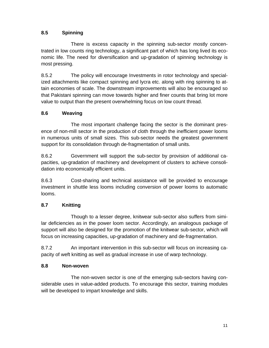# **8.5 Spinning**

There is excess capacity in the spinning sub-sector mostly concentrated in low counts ring technology, a significant part of which has long lived its economic life. The need for diversification and up-gradation of spinning technology is most pressing.

8.5.2 The policy will encourage Investments in rotor technology and specialized attachments like compact spinning and lycra etc. along with ring spinning to attain economies of scale. The downstream improvements will also be encouraged so that Pakistani spinning can move towards higher and finer counts that bring lot more value to output than the present overwhelming focus on low count thread.

#### **8.6 Weaving**

The most important challenge facing the sector is the dominant presence of non-mill sector in the production of cloth through the inefficient power looms in numerous units of small sizes. This sub-sector needs the greatest government support for its consolidation through de-fragmentation of small units.

8.6.2 Government will support the sub-sector by provision of additional capacities, up-gradation of machinery and development of clusters to achieve consolidation into economically efficient units.

8.6.3 Cost-sharing and technical assistance will be provided to encourage investment in shuttle less looms including conversion of power looms to automatic looms.

#### **8.7 Knitting**

Though to a lesser degree, knitwear sub-sector also suffers from similar deficiencies as in the power loom sector. Accordingly, an analogous package of support will also be designed for the promotion of the knitwear sub-sector, which will focus on increasing capacities, up-gradation of machinery and de-fragmentation.

8.7.2 An important intervention in this sub-sector will focus on increasing capacity of weft knitting as well as gradual increase in use of warp technology.

#### **8.8 Non-woven**

The non-woven sector is one of the emerging sub-sectors having considerable uses in value-added products. To encourage this sector, training modules will be developed to impart knowledge and skills.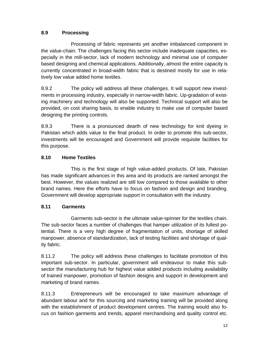#### **8.9 Processing**

Processing of fabric represents yet another imbalanced component in the value-chain. The challenges facing this sector include inadequate capacities, especially in the mill-sector, lack of modern technology and minimal use of computer based designing and chemical applications. Additionally, almost the entire capacity is currently concentrated in broad-width fabric that is destined mostly for use in relatively low value added home textiles.

8.9.2 The policy will address all these challenges. It will support new investments in processing industry, especially in narrow-width fabric. Up-gradation of existing machinery and technology will also be supported. Technical support will also be provided, on cost sharing basis, to enable industry to make use of computer based designing the printing controls.

8.9.3 There is a pronounced dearth of new technology for knit dyeing in Pakistan which adds value to the final product. In order to promote this sub-sector, investments will be encouraged and Government will provide requisite facilities for this purpose.

# **8.10 Home Textiles**

This is the first stage of high value-added products. Of late, Pakistan has made significant advances in this area and its products are ranked amongst the best. However, the values realized are still low compared to those available to other brand names. Here the efforts have to focus on fashion and design and branding. Government will develop appropriate support in consultation with the industry.

# **8.11 Garments**

Garments sub-sector is the ultimate value-spinner for the textiles chain. The sub-sector faces a number of challenges that hamper utilization of its fullest potential. There is a very high degree of fragmentation of units, shortage of skilled manpower, absence of standardization, lack of testing facilities and shortage of quality fabric.

8.11.2 The policy will address these challenges to facilitate promotion of this important sub-sector. In particular, government will endeavour to make this subsector the manufacturing hub for highest value added products including availability of trained manpower, promotion of fashion designs and support in development and marketing of brand names.

8.11.3 Entrepreneurs will be encouraged to take maximum advantage of abundant labour and for this sourcing and marketing training will be provided along with the establishment of product development centres. The training would also focus on fashion garments and trends, apparel merchandising and quality control etc.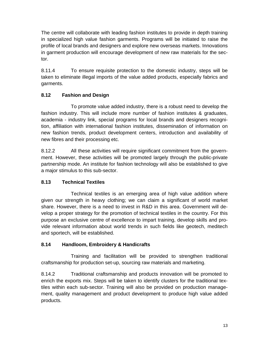The centre will collaborate with leading fashion institutes to provide in depth training in specialized high value fashion garments. Programs will be initiated to raise the profile of local brands and designers and explore new overseas markets. Innovations in garment production will encourage development of new raw materials for the sector.

8.11.4 To ensure requisite protection to the domestic industry, steps will be taken to eliminate illegal imports of the value added products, especially fabrics and garments.

# **8.12 Fashion and Design**

To promote value added industry, there is a robust need to develop the fashion industry. This will include more number of fashion institutes & graduates, academia - industry link, special programs for local brands and designers recognition, affiliation with international fashion institutes, dissemination of information on new fashion trends, product development centers, introduction and availability of new fibres and their processing etc.

8.12.2 All these activities will require significant commitment from the government. However, these activities will be promoted largely through the public-private partnership mode. An institute for fashion technology will also be established to give a major stimulus to this sub-sector.

# **8.13 Technical Textiles**

Technical textiles is an emerging area of high value addition where given our strength in heavy clothing; we can claim a significant of world market share. However, there is a need to invest in R&D in this area. Government will develop a proper strategy for the promotion of technical textiles in the country. For this purpose an exclusive centre of excellence to impart training, develop skills and provide relevant information about world trends in such fields like geotech, meditech and sportech, will be established.

#### **8.14 Handloom, Embroidery & Handicrafts**

Training and facilitation will be provided to strengthen traditional craftsmanship for production set-up, sourcing raw materials and marketing.

8.14.2 Traditional craftsmanship and products innovation will be promoted to enrich the exports mix. Steps will be taken to identify clusters for the traditional textiles within each sub-sector. Training will also be provided on production management, quality management and product development to produce high value added products.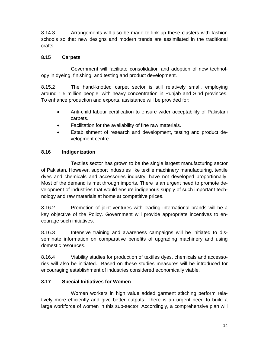8.14.3 Arrangements will also be made to link up these clusters with fashion schools so that new designs and modern trends are assimilated in the traditional crafts.

#### **8.15 Carpets**

Government will facilitate consolidation and adoption of new technology in dyeing, finishing, and testing and product development.

8.15.2 The hand-knotted carpet sector is still relatively small, employing around 1.5 million people, with heavy concentration in Punjab and Sind provinces. To enhance production and exports, assistance will be provided for:

- Anti-child labour certification to ensure wider acceptability of Pakistani carpets.
- Facilitation for the availability of fine raw materials.
- Establishment of research and development, testing and product development centre.

#### **8.16 Indigenization**

Textiles sector has grown to be the single largest manufacturing sector of Pakistan. However, support industries like textile machinery manufacturing, textile dyes and chemicals and accessories industry, have not developed proportionally. Most of the demand is met through imports. There is an urgent need to promote development of industries that would ensure indigenous supply of such important technology and raw materials at home at competitive prices.

8.16.2 Promotion of joint ventures with leading international brands will be a key objective of the Policy. Government will provide appropriate incentives to encourage such initiatives.

8.16.3 Intensive training and awareness campaigns will be initiated to disseminate information on comparative benefits of upgrading machinery and using domestic resources.

8.16.4 Viability studies for production of textiles dyes, chemicals and accessories will also be initiated. Based on these studies measures will be introduced for encouraging establishment of industries considered economically viable.

#### **8.17 Special Initiatives for Women**

Women workers in high value added garment stitching perform relatively more efficiently and give better outputs. There is an urgent need to build a large workforce of women in this sub-sector. Accordingly, a comprehensive plan will